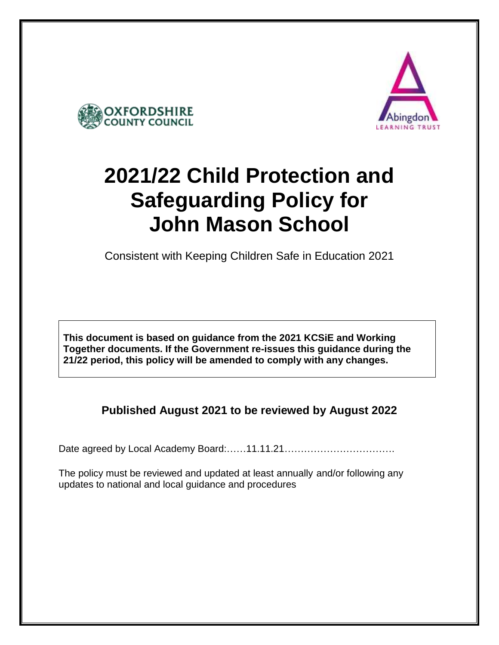



# **2021/22 Child Protection and Safeguarding Policy for John Mason School**

Consistent with Keeping Children Safe in Education 2021

**This document is based on guidance from the 2021 KCSiE and Working Together documents. If the Government re-issues this guidance during the 21/22 period, this policy will be amended to comply with any changes.** 

**Published August 2021 to be reviewed by August 2022**

Date agreed by Local Academy Board:……11.11.21…………………………….

The policy must be reviewed and updated at least annually and/or following any updates to national and local guidance and procedures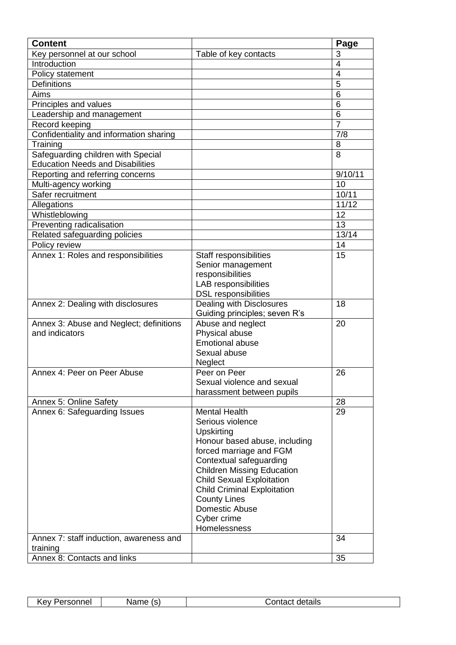| <b>Content</b>                                                                |                                    | Page           |
|-------------------------------------------------------------------------------|------------------------------------|----------------|
| Key personnel at our school                                                   | Table of key contacts              | 3              |
| Introduction                                                                  |                                    | $\overline{4}$ |
| Policy statement                                                              |                                    | 4              |
| <b>Definitions</b>                                                            |                                    | 5              |
| Aims                                                                          |                                    | 6              |
| Principles and values                                                         |                                    | 6              |
| Leadership and management                                                     |                                    | 6              |
| Record keeping                                                                |                                    | 7              |
| Confidentiality and information sharing                                       |                                    | 7/8            |
| Training                                                                      |                                    | 8              |
| Safeguarding children with Special<br><b>Education Needs and Disabilities</b> |                                    | 8              |
| Reporting and referring concerns                                              |                                    | 9/10/11        |
| Multi-agency working                                                          |                                    | 10             |
| Safer recruitment                                                             |                                    | 10/11          |
| Allegations                                                                   |                                    | 11/12          |
| Whistleblowing                                                                |                                    | 12             |
| Preventing radicalisation                                                     |                                    | 13             |
| Related safeguarding policies                                                 |                                    | 13/14          |
| Policy review                                                                 |                                    | 14             |
| Annex 1: Roles and responsibilities                                           | Staff responsibilities             | 15             |
|                                                                               | Senior management                  |                |
|                                                                               | responsibilities                   |                |
|                                                                               | LAB responsibilities               |                |
|                                                                               | <b>DSL responsibilities</b>        |                |
| Annex 2: Dealing with disclosures                                             | Dealing with Disclosures           | 18             |
|                                                                               | Guiding principles; seven R's      |                |
| Annex 3: Abuse and Neglect; definitions                                       | Abuse and neglect                  | 20             |
| and indicators                                                                | Physical abuse                     |                |
|                                                                               | <b>Emotional abuse</b>             |                |
|                                                                               | Sexual abuse                       |                |
|                                                                               | Neglect                            |                |
| Annex 4: Peer on Peer Abuse                                                   | Peer on Peer                       | 26             |
|                                                                               | Sexual violence and sexual         |                |
|                                                                               | harassment between pupils          |                |
| Annex 5: Online Safety                                                        |                                    | 28             |
| Annex 6: Safeguarding Issues                                                  | <b>Mental Health</b>               | 29             |
|                                                                               | Serious violence                   |                |
|                                                                               | Upskirting                         |                |
|                                                                               | Honour based abuse, including      |                |
|                                                                               | forced marriage and FGM            |                |
|                                                                               | Contextual safeguarding            |                |
|                                                                               | <b>Children Missing Education</b>  |                |
|                                                                               | <b>Child Sexual Exploitation</b>   |                |
|                                                                               | <b>Child Criminal Exploitation</b> |                |
|                                                                               | <b>County Lines</b>                |                |
|                                                                               | Domestic Abuse                     |                |
|                                                                               | Cyber crime                        |                |
|                                                                               | Homelessness                       | 34             |
| Annex 7: staff induction, awareness and                                       |                                    |                |
| training                                                                      |                                    |                |
| Annex 8: Contacts and links                                                   |                                    | 35             |

| -----<br>kev.<br>$-$ ers<br>וטוי | 'vame<br>ື | details<br>`ontact |
|----------------------------------|------------|--------------------|
|                                  |            |                    |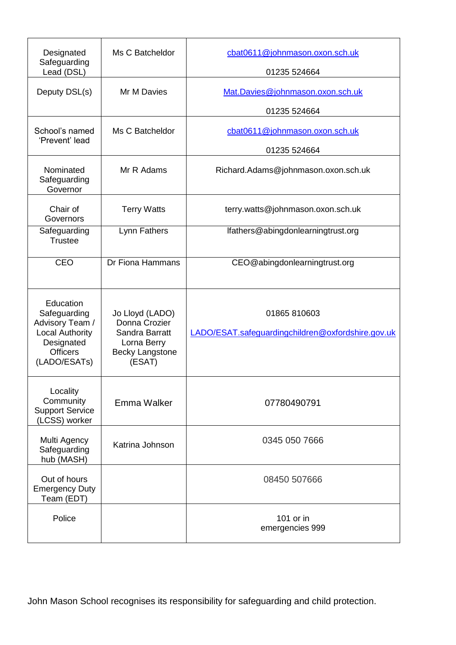| Designated<br>Safeguarding<br>Lead (DSL)                                                                                | Ms C Batcheldor                                                                                       | cbat0611@johnmason.oxon.sch.uk<br>01235 524664                    |
|-------------------------------------------------------------------------------------------------------------------------|-------------------------------------------------------------------------------------------------------|-------------------------------------------------------------------|
| Deputy DSL(s)                                                                                                           | Mr M Davies                                                                                           | Mat.Davies@johnmason.oxon.sch.uk<br>01235 524664                  |
| School's named<br>'Prevent' lead                                                                                        | Ms C Batcheldor                                                                                       | cbat0611@johnmason.oxon.sch.uk<br>01235 524664                    |
| Nominated<br>Safeguarding<br>Governor                                                                                   | Mr R Adams                                                                                            | Richard.Adams@johnmason.oxon.sch.uk                               |
| Chair of<br>Governors                                                                                                   | <b>Terry Watts</b>                                                                                    | terry.watts@johnmason.oxon.sch.uk                                 |
| Safeguarding<br><b>Trustee</b>                                                                                          | Lynn Fathers                                                                                          | lfathers@abingdonlearningtrust.org                                |
| <b>CEO</b>                                                                                                              | Dr Fiona Hammans                                                                                      | CEO@abingdonlearningtrust.org                                     |
| Education<br>Safeguarding<br>Advisory Team /<br><b>Local Authority</b><br>Designated<br><b>Officers</b><br>(LADO/ESATs) | Jo Lloyd (LADO)<br>Donna Crozier<br>Sandra Barratt<br>Lorna Berry<br><b>Becky Langstone</b><br>(ESAT) | 01865 810603<br>LADO/ESAT.safequardingchildren@oxfordshire.gov.uk |
| Locality<br>Community<br><b>Support Service</b><br>(LCSS) worker                                                        | Emma Walker                                                                                           | 07780490791                                                       |
| Multi Agency<br>Safeguarding<br>hub (MASH)                                                                              | Katrina Johnson                                                                                       | 0345 050 7666                                                     |
| Out of hours<br><b>Emergency Duty</b><br>Team (EDT)                                                                     |                                                                                                       | 08450 507666                                                      |
| Police                                                                                                                  |                                                                                                       | 101 or in<br>emergencies 999                                      |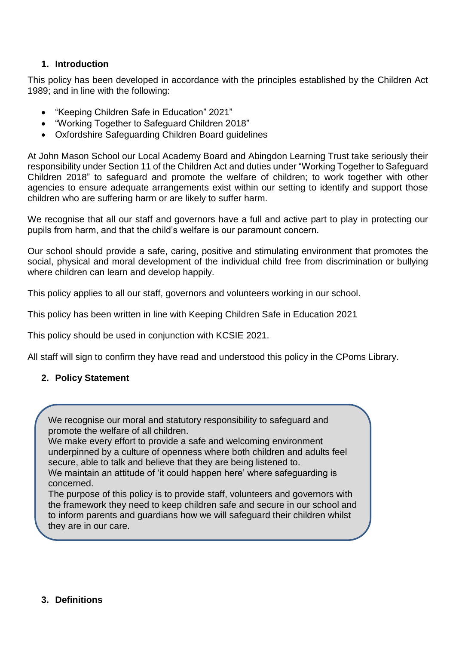#### **1. Introduction**

This policy has been developed in accordance with the principles established by the Children Act 1989; and in line with the following:

- "Keeping Children Safe in Education" 2021"
- "Working Together to Safeguard Children 2018"
- Oxfordshire Safeguarding Children Board guidelines

At John Mason School our Local Academy Board and Abingdon Learning Trust take seriously their responsibility under Section 11 of the Children Act and duties under "Working Together to Safeguard Children 2018" to safeguard and promote the welfare of children; to work together with other agencies to ensure adequate arrangements exist within our setting to identify and support those children who are suffering harm or are likely to suffer harm.

We recognise that all our staff and governors have a full and active part to play in protecting our pupils from harm, and that the child's welfare is our paramount concern.

Our school should provide a safe, caring, positive and stimulating environment that promotes the social, physical and moral development of the individual child free from discrimination or bullying where children can learn and develop happily.

This policy applies to all our staff, governors and volunteers working in our school.

This policy has been written in line with Keeping Children Safe in Education 2021

This policy should be used in conjunction with KCSIE 2021.

All staff will sign to confirm they have read and understood this policy in the CPoms Library.

#### **2. Policy Statement**

We recognise our moral and statutory responsibility to safeguard and promote the welfare of all children.

We make every effort to provide a safe and welcoming environment underpinned by a culture of openness where both children and adults feel secure, able to talk and believe that they are being listened to.

We maintain an attitude of 'it could happen here' where safeguarding is concerned.

The purpose of this policy is to provide staff, volunteers and governors with the framework they need to keep children safe and secure in our school and to inform parents and guardians how we will safeguard their children whilst they are in our care.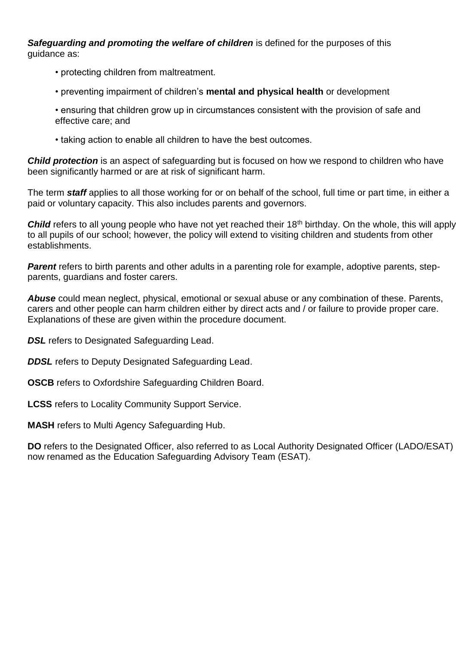*Safeguarding and promoting the welfare of children* is defined for the purposes of this guidance as:

- protecting children from maltreatment.
- preventing impairment of children's **mental and physical health** or development
- ensuring that children grow up in circumstances consistent with the provision of safe and effective care; and
- taking action to enable all children to have the best outcomes.

*Child protection* is an aspect of safeguarding but is focused on how we respond to children who have been significantly harmed or are at risk of significant harm.

The term *staff* applies to all those working for or on behalf of the school, full time or part time, in either a paid or voluntary capacity. This also includes parents and governors.

**Child** refers to all young people who have not yet reached their 18<sup>th</sup> birthday. On the whole, this will apply to all pupils of our school; however, the policy will extend to visiting children and students from other establishments.

**Parent** refers to birth parents and other adults in a parenting role for example, adoptive parents, stepparents, guardians and foster carers.

*Abuse* could mean neglect, physical, emotional or sexual abuse or any combination of these. Parents, carers and other people can harm children either by direct acts and / or failure to provide proper care. Explanations of these are given within the procedure document.

**DSL** refers to Designated Safeguarding Lead.

**DDSL** refers to Deputy Designated Safeguarding Lead.

**OSCB** refers to Oxfordshire Safeguarding Children Board.

**LCSS** refers to Locality Community Support Service.

**MASH** refers to Multi Agency Safeguarding Hub.

**DO** refers to the Designated Officer, also referred to as Local Authority Designated Officer (LADO/ESAT) now renamed as the Education Safeguarding Advisory Team (ESAT).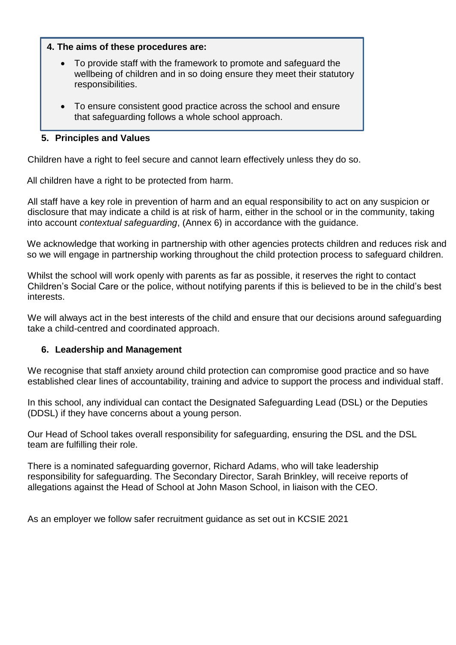#### **4. The aims of these procedures are:**

- To provide staff with the framework to promote and safeguard the wellbeing of children and in so doing ensure they meet their statutory responsibilities.
- To ensure consistent good practice across the school and ensure that safeguarding follows a whole school approach.

#### **5.** Principles and Values **The demonstrate our commitment of the commitment of protection**

Children have a right to feel secure and cannot learn effectively unless they do so.

All children have a right to be protected from harm.

All staff have a key role in prevention of harm and an equal responsibility to act on any suspicion or disclosure that may indicate a child is at risk of harm, either in the school or in the community, taking into account *contextual safeguarding*, (Annex 6) in accordance with the guidance.

We acknowledge that working in partnership with other agencies protects children and reduces risk and so we will engage in partnership working throughout the child protection process to safeguard children.

Whilst the school will work openly with parents as far as possible, it reserves the right to contact Children's Social Care or the police, without notifying parents if this is believed to be in the child's best interests.

We will always act in the best interests of the child and ensure that our decisions around safeguarding take a child-centred and coordinated approach.

## **6. Leadership and Management**

We recognise that staff anxiety around child protection can compromise good practice and so have established clear lines of accountability, training and advice to support the process and individual staff.

In this school, any individual can contact the Designated Safeguarding Lead (DSL) or the Deputies (DDSL) if they have concerns about a young person.

Our Head of School takes overall responsibility for safeguarding, ensuring the DSL and the DSL team are fulfilling their role.

There is a nominated safeguarding governor, Richard Adams, who will take leadership responsibility for safeguarding. The Secondary Director, Sarah Brinkley, will receive reports of allegations against the Head of School at John Mason School, in liaison with the CEO.

As an employer we follow safer recruitment guidance as set out in KCSIE 2021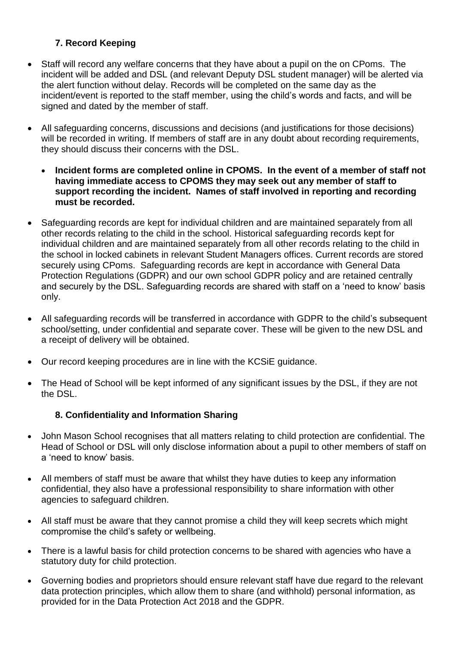# **7. Record Keeping**

- Staff will record any welfare concerns that they have about a pupil on the on CPoms. The incident will be added and DSL (and relevant Deputy DSL student manager) will be alerted via the alert function without delay. Records will be completed on the same day as the incident/event is reported to the staff member, using the child's words and facts, and will be signed and dated by the member of staff.
- All safeguarding concerns, discussions and decisions (and justifications for those decisions) will be recorded in writing. If members of staff are in any doubt about recording requirements, they should discuss their concerns with the DSL.
	- **Incident forms are completed online in CPOMS. In the event of a member of staff not having immediate access to CPOMS they may seek out any member of staff to support recording the incident. Names of staff involved in reporting and recording must be recorded.**
- Safeguarding records are kept for individual children and are maintained separately from all other records relating to the child in the school. Historical safeguarding records kept for individual children and are maintained separately from all other records relating to the child in the school in locked cabinets in relevant Student Managers offices. Current records are stored securely using CPoms. Safeguarding records are kept in accordance with General Data Protection Regulations (GDPR) and our own school GDPR policy and are retained centrally and securely by the DSL. Safeguarding records are shared with staff on a 'need to know' basis only.
- All safeguarding records will be transferred in accordance with GDPR to the child's subsequent school/setting, under confidential and separate cover. These will be given to the new DSL and a receipt of delivery will be obtained.
- Our record keeping procedures are in line with the KCSiE guidance.
- The Head of School will be kept informed of any significant issues by the DSL, if they are not the DSL.

# **8. Confidentiality and Information Sharing**

- John Mason School recognises that all matters relating to child protection are confidential. The Head of School or DSL will only disclose information about a pupil to other members of staff on a 'need to know' basis.
- All members of staff must be aware that whilst they have duties to keep any information confidential, they also have a professional responsibility to share information with other agencies to safeguard children.
- All staff must be aware that they cannot promise a child they will keep secrets which might compromise the child's safety or wellbeing.
- There is a lawful basis for child protection concerns to be shared with agencies who have a statutory duty for child protection.
- Governing bodies and proprietors should ensure relevant staff have due regard to the relevant data protection principles, which allow them to share (and withhold) personal information, as provided for in the Data Protection Act 2018 and the GDPR.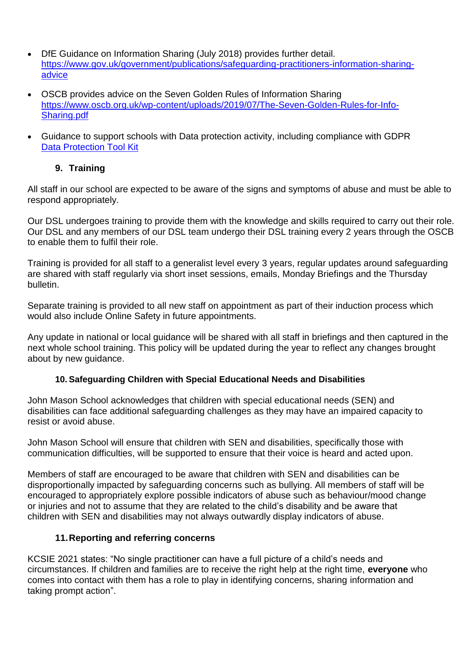- DfE Guidance on Information Sharing (July 2018) provides further detail. [https://www.gov.uk/government/publications/safeguarding-practitioners-information-sharing](https://www.gov.uk/government/publications/safeguarding-practitioners-information-sharing-advice)[advice](https://www.gov.uk/government/publications/safeguarding-practitioners-information-sharing-advice)
- OSCB provides advice on the Seven Golden Rules of Information Sharing [https://www.oscb.org.uk/wp-content/uploads/2019/07/The-Seven-Golden-Rules-for-Info-](https://www.oscb.org.uk/wp-content/uploads/2019/07/The-Seven-Golden-Rules-for-Info-Sharing.pdf)[Sharing.pdf](https://www.oscb.org.uk/wp-content/uploads/2019/07/The-Seven-Golden-Rules-for-Info-Sharing.pdf)
- Guidance to support schools with Data protection activity, including compliance with GDPR [Data Protection Tool Kit](https://www.gov.uk/government/publications/data-protection-toolkit-for-schools)

# **9. Training**

All staff in our school are expected to be aware of the signs and symptoms of abuse and must be able to respond appropriately.

Our DSL undergoes training to provide them with the knowledge and skills required to carry out their role. Our DSL and any members of our DSL team undergo their DSL training every 2 years through the OSCB to enable them to fulfil their role.

Training is provided for all staff to a generalist level every 3 years, regular updates around safeguarding are shared with staff regularly via short inset sessions, emails, Monday Briefings and the Thursday bulletin.

Separate training is provided to all new staff on appointment as part of their induction process which would also include Online Safety in future appointments.

Any update in national or local guidance will be shared with all staff in briefings and then captured in the next whole school training. This policy will be updated during the year to reflect any changes brought about by new guidance.

## **10. Safeguarding Children with Special Educational Needs and Disabilities**

John Mason School acknowledges that children with special educational needs (SEN) and disabilities can face additional safeguarding challenges as they may have an impaired capacity to resist or avoid abuse.

John Mason School will ensure that children with SEN and disabilities, specifically those with communication difficulties, will be supported to ensure that their voice is heard and acted upon.

Members of staff are encouraged to be aware that children with SEN and disabilities can be disproportionally impacted by safeguarding concerns such as bullying. All members of staff will be encouraged to appropriately explore possible indicators of abuse such as behaviour/mood change or injuries and not to assume that they are related to the child's disability and be aware that children with SEN and disabilities may not always outwardly display indicators of abuse.

## **11.Reporting and referring concerns**

KCSIE 2021 states: "No single practitioner can have a full picture of a child's needs and circumstances. If children and families are to receive the right help at the right time, **everyone** who comes into contact with them has a role to play in identifying concerns, sharing information and taking prompt action".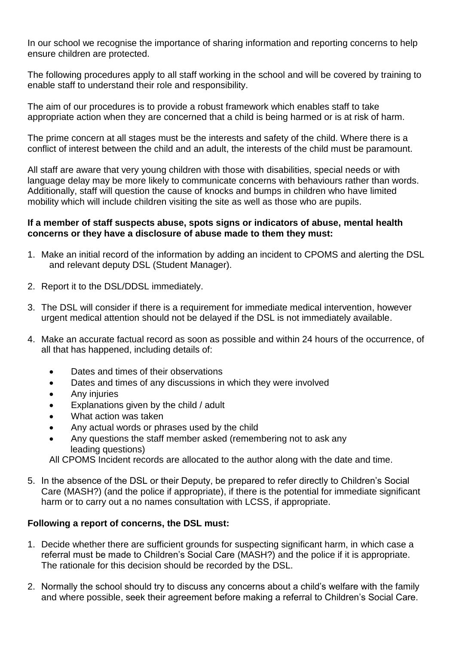In our school we recognise the importance of sharing information and reporting concerns to help ensure children are protected.

The following procedures apply to all staff working in the school and will be covered by training to enable staff to understand their role and responsibility.

The aim of our procedures is to provide a robust framework which enables staff to take appropriate action when they are concerned that a child is being harmed or is at risk of harm.

The prime concern at all stages must be the interests and safety of the child. Where there is a conflict of interest between the child and an adult, the interests of the child must be paramount.

All staff are aware that very young children with those with disabilities, special needs or with language delay may be more likely to communicate concerns with behaviours rather than words. Additionally, staff will question the cause of knocks and bumps in children who have limited mobility which will include children visiting the site as well as those who are pupils.

#### **If a member of staff suspects abuse, spots signs or indicators of abuse, mental health concerns or they have a disclosure of abuse made to them they must:**

- 1. Make an initial record of the information by adding an incident to CPOMS and alerting the DSL and relevant deputy DSL (Student Manager).
- 2. Report it to the DSL/DDSL immediately.
- 3. The DSL will consider if there is a requirement for immediate medical intervention, however urgent medical attention should not be delayed if the DSL is not immediately available.
- 4. Make an accurate factual record as soon as possible and within 24 hours of the occurrence, of all that has happened, including details of:
	- Dates and times of their observations
	- Dates and times of any discussions in which they were involved
	- Any injuries
	- Explanations given by the child / adult
	- What action was taken
	- Any actual words or phrases used by the child
	- Any questions the staff member asked (remembering not to ask any leading questions)

All CPOMS Incident records are allocated to the author along with the date and time.

5. In the absence of the DSL or their Deputy, be prepared to refer directly to Children's Social Care (MASH?) (and the police if appropriate), if there is the potential for immediate significant harm or to carry out a no names consultation with LCSS, if appropriate.

#### **Following a report of concerns, the DSL must:**

- 1. Decide whether there are sufficient grounds for suspecting significant harm, in which case a referral must be made to Children's Social Care (MASH?) and the police if it is appropriate. The rationale for this decision should be recorded by the DSL.
- 2. Normally the school should try to discuss any concerns about a child's welfare with the family and where possible, seek their agreement before making a referral to Children's Social Care.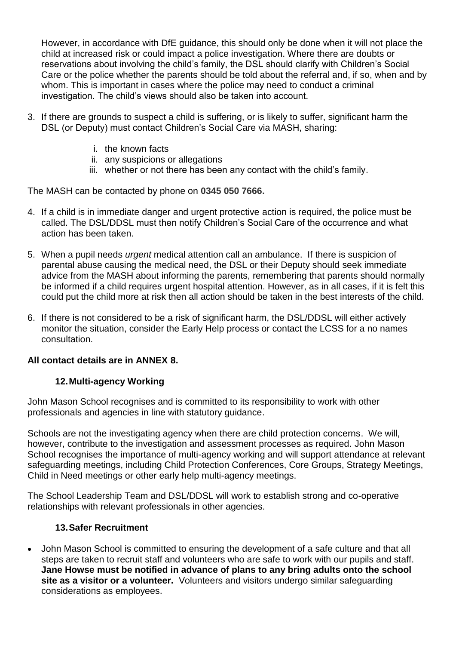However, in accordance with DfE guidance, this should only be done when it will not place the child at increased risk or could impact a police investigation. Where there are doubts or reservations about involving the child's family, the DSL should clarify with Children's Social Care or the police whether the parents should be told about the referral and, if so, when and by whom. This is important in cases where the police may need to conduct a criminal investigation. The child's views should also be taken into account.

- 3. If there are grounds to suspect a child is suffering, or is likely to suffer, significant harm the DSL (or Deputy) must contact Children's Social Care via MASH, sharing:
	- i. the known facts
	- ii. any suspicions or allegations
	- iii. whether or not there has been any contact with the child's family.

The MASH can be contacted by phone on **0345 050 7666.**

- 4. If a child is in immediate danger and urgent protective action is required, the police must be called. The DSL/DDSL must then notify Children's Social Care of the occurrence and what action has been taken.
- 5. When a pupil needs *urgent* medical attention call an ambulance. If there is suspicion of parental abuse causing the medical need, the DSL or their Deputy should seek immediate advice from the MASH about informing the parents, remembering that parents should normally be informed if a child requires urgent hospital attention. However, as in all cases, if it is felt this could put the child more at risk then all action should be taken in the best interests of the child.
- 6. If there is not considered to be a risk of significant harm, the DSL/DDSL will either actively monitor the situation, consider the Early Help process or contact the LCSS for a no names consultation.

## **All contact details are in ANNEX 8.**

## **12.Multi-agency Working**

John Mason School recognises and is committed to its responsibility to work with other professionals and agencies in line with statutory guidance.

Schools are not the investigating agency when there are child protection concerns. We will, however, contribute to the investigation and assessment processes as required. John Mason School recognises the importance of multi-agency working and will support attendance at relevant safeguarding meetings, including Child Protection Conferences, Core Groups, Strategy Meetings, Child in Need meetings or other early help multi-agency meetings.

The School Leadership Team and DSL/DDSL will work to establish strong and co-operative relationships with relevant professionals in other agencies.

#### **13.Safer Recruitment**

 John Mason School is committed to ensuring the development of a safe culture and that all steps are taken to recruit staff and volunteers who are safe to work with our pupils and staff. **Jane Howse must be notified in advance of plans to any bring adults onto the school site as a visitor or a volunteer.** Volunteers and visitors undergo similar safeguarding considerations as employees.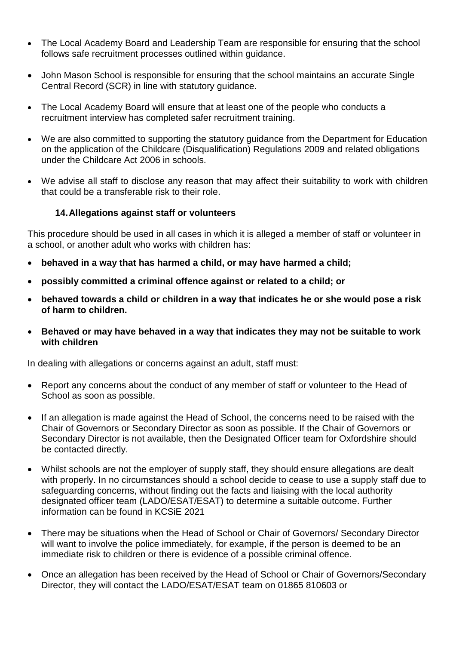- The Local Academy Board and Leadership Team are responsible for ensuring that the school follows safe recruitment processes outlined within guidance.
- John Mason School is responsible for ensuring that the school maintains an accurate Single Central Record (SCR) in line with statutory guidance.
- The Local Academy Board will ensure that at least one of the people who conducts a recruitment interview has completed safer recruitment training.
- We are also committed to supporting the statutory guidance from the Department for Education on the application of the Childcare (Disqualification) Regulations 2009 and related obligations under the Childcare Act 2006 in schools.
- We advise all staff to disclose any reason that may affect their suitability to work with children that could be a transferable risk to their role.

#### **14.Allegations against staff or volunteers**

This procedure should be used in all cases in which it is alleged a member of staff or volunteer in a school, or another adult who works with children has:

- **behaved in a way that has harmed a child, or may have harmed a child;**
- **possibly committed a criminal offence against or related to a child; or**
- **behaved towards a child or children in a way that indicates he or she would pose a risk of harm to children.**
- **Behaved or may have behaved in a way that indicates they may not be suitable to work with children**

In dealing with allegations or concerns against an adult, staff must:

- Report any concerns about the conduct of any member of staff or volunteer to the Head of School as soon as possible.
- If an allegation is made against the Head of School, the concerns need to be raised with the Chair of Governors or Secondary Director as soon as possible. If the Chair of Governors or Secondary Director is not available, then the Designated Officer team for Oxfordshire should be contacted directly.
- Whilst schools are not the employer of supply staff, they should ensure allegations are dealt with properly. In no circumstances should a school decide to cease to use a supply staff due to safeguarding concerns, without finding out the facts and liaising with the local authority designated officer team (LADO/ESAT/ESAT) to determine a suitable outcome. Further information can be found in KCSiE 2021
- There may be situations when the Head of School or Chair of Governors/ Secondary Director will want to involve the police immediately, for example, if the person is deemed to be an immediate risk to children or there is evidence of a possible criminal offence.
- Once an allegation has been received by the Head of School or Chair of Governors/Secondary Director, they will contact the LADO/ESAT/ESAT team on 01865 810603 or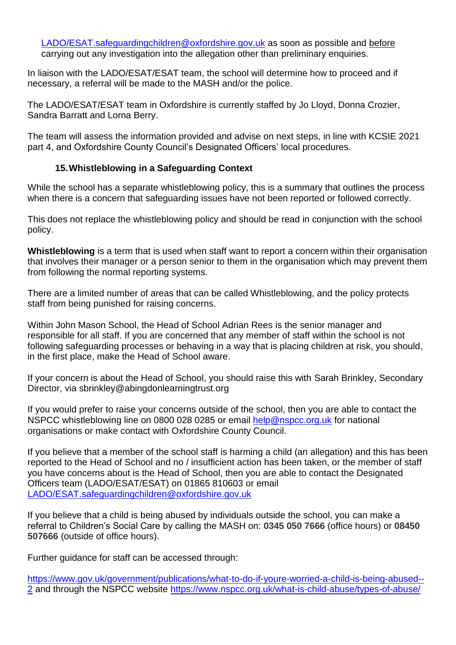[LADO/ESAT.safeguardingchildren@oxfordshire.gov.uk](mailto:lado.safeguardingchildren@oxfordshire.gov.uk) as soon as possible and before carrying out any investigation into the allegation other than preliminary enquiries.

In liaison with the LADO/ESAT/ESAT team, the school will determine how to proceed and if necessary, a referral will be made to the MASH and/or the police.

The LADO/ESAT/ESAT team in Oxfordshire is currently staffed by Jo Lloyd, Donna Crozier, Sandra Barratt and Lorna Berry.

The team will assess the information provided and advise on next steps, in line with KCSIE 2021 part 4, and Oxfordshire County Council's Designated Officers' local procedures.

## **15.Whistleblowing in a Safeguarding Context**

While the school has a separate whistleblowing policy, this is a summary that outlines the process when there is a concern that safeguarding issues have not been reported or followed correctly.

This does not replace the whistleblowing policy and should be read in conjunction with the school policy.

**Whistleblowing** is a term that is used when staff want to report a concern within their organisation that involves their manager or a person senior to them in the organisation which may prevent them from following the normal reporting systems.

There are a limited number of areas that can be called Whistleblowing, and the policy protects staff from being punished for raising concerns.

Within John Mason School, the Head of School Adrian Rees is the senior manager and responsible for all staff. If you are concerned that any member of staff within the school is not following safeguarding processes or behaving in a way that is placing children at risk, you should, in the first place, make the Head of School aware.

If your concern is about the Head of School, you should raise this with Sarah Brinkley, Secondary Director, via sbrinkley@abingdonlearningtrust.org

If you would prefer to raise your concerns outside of the school, then you are able to contact the NSPCC whistleblowing line on 0800 028 0285 or email [help@nspcc.org.uk](mailto:help@nspcc.org.uk) for national organisations or make contact with Oxfordshire County Council.

If you believe that a member of the school staff is harming a child (an allegation) and this has been reported to the Head of School and no / insufficient action has been taken, or the member of staff you have concerns about is the Head of School, then you are able to contact the Designated Officers team (LADO/ESAT/ESAT) on 01865 810603 or email [LADO/ESAT.safeguardingchildren@oxfordshire.gov.uk](mailto:lado.safeguardingchildren@oxfordshire.gov.uk)

If you believe that a child is being abused by individuals outside the school, you can make a referral to Children's Social Care by calling the MASH on: **0345 050 7666** (office hours) or **08450 507666** (outside of office hours).

Further guidance for staff can be accessed through:

[https://www.gov.uk/government/publications/what-to-do-if-youre-worried-a-child-is-being-abused--](https://www.gov.uk/government/publications/what-to-do-if-youre-worried-a-child-is-being-abused--2) [2](https://www.gov.uk/government/publications/what-to-do-if-youre-worried-a-child-is-being-abused--2) and through the NSPCC website<https://www.nspcc.org.uk/what-is-child-abuse/types-of-abuse/>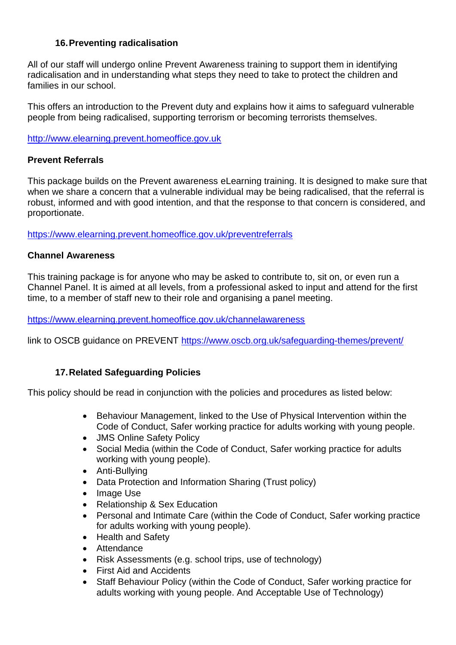## **16.Preventing radicalisation**

All of our staff will undergo online Prevent Awareness training to support them in identifying radicalisation and in understanding what steps they need to take to protect the children and families in our school.

This offers an introduction to the Prevent duty and explains how it aims to safeguard vulnerable people from being radicalised, supporting terrorism or becoming terrorists themselves.

[http://www.elearning.prevent.homeoffice.gov.uk](http://www.elearning.prevent.homeoffice.gov.uk/)

#### **Prevent Referrals**

This package builds on the Prevent awareness eLearning training. It is designed to make sure that when we share a concern that a vulnerable individual may be being radicalised, that the referral is robust, informed and with good intention, and that the response to that concern is considered, and proportionate.

<https://www.elearning.prevent.homeoffice.gov.uk/preventreferrals>

## **Channel Awareness**

This training package is for anyone who may be asked to contribute to, sit on, or even run a Channel Panel. It is aimed at all levels, from a professional asked to input and attend for the first time, to a member of staff new to their role and organising a panel meeting.

<https://www.elearning.prevent.homeoffice.gov.uk/channelawareness>

link to OSCB guidance on PREVENT<https://www.oscb.org.uk/safeguarding-themes/prevent/>

## **17.Related Safeguarding Policies**

This policy should be read in conjunction with the policies and procedures as listed below:

- Behaviour Management, linked to the Use of Physical Intervention within the Code of Conduct, Safer working practice for adults working with young people.
- JMS Online Safety Policy
- Social Media (within the Code of Conduct, Safer working practice for adults working with young people).
- Anti-Bullying
- Data Protection and Information Sharing (Trust policy)
- Image Use
- Relationship & Sex Education
- Personal and Intimate Care (within the Code of Conduct, Safer working practice for adults working with young people).
- Health and Safety
- Attendance
- Risk Assessments (e.g. school trips, use of technology)
- First Aid and Accidents
- Staff Behaviour Policy (within the Code of Conduct, Safer working practice for adults working with young people. And Acceptable Use of Technology)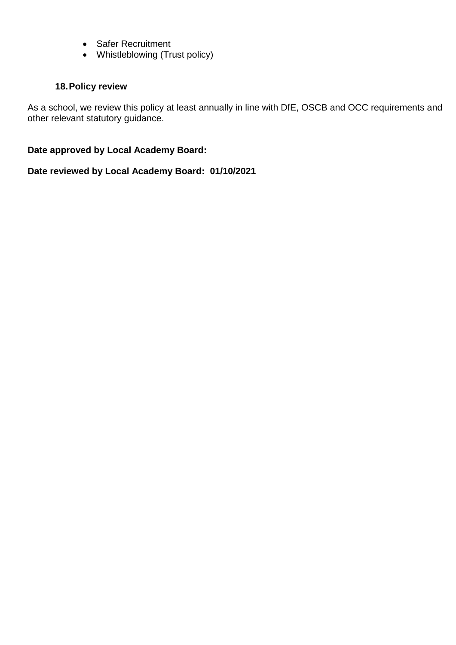- Safer Recruitment
- Whistleblowing (Trust policy)

## **18.Policy review**

As a school, we review this policy at least annually in line with DfE, OSCB and OCC requirements and other relevant statutory guidance.

#### **Date approved by Local Academy Board:**

**Date reviewed by Local Academy Board: 01/10/2021**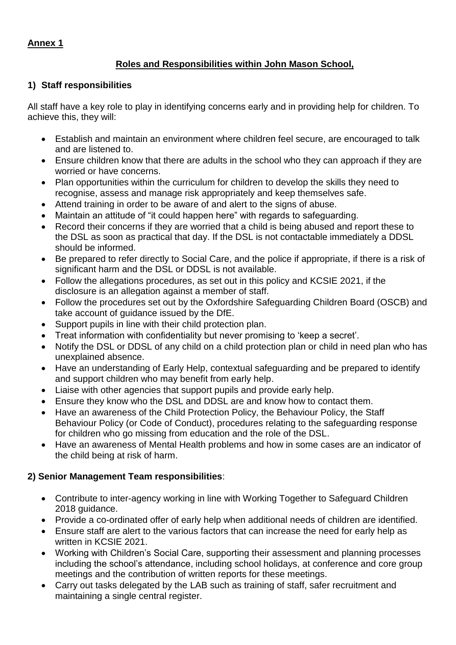# **Roles and Responsibilities within John Mason School,**

# **1) Staff responsibilities**

All staff have a key role to play in identifying concerns early and in providing help for children. To achieve this, they will:

- Establish and maintain an environment where children feel secure, are encouraged to talk and are listened to.
- Ensure children know that there are adults in the school who they can approach if they are worried or have concerns.
- Plan opportunities within the curriculum for children to develop the skills they need to recognise, assess and manage risk appropriately and keep themselves safe.
- Attend training in order to be aware of and alert to the signs of abuse.
- Maintain an attitude of "it could happen here" with regards to safeguarding.
- Record their concerns if they are worried that a child is being abused and report these to the DSL as soon as practical that day. If the DSL is not contactable immediately a DDSL should be informed.
- Be prepared to refer directly to Social Care, and the police if appropriate, if there is a risk of significant harm and the DSL or DDSL is not available.
- Follow the allegations procedures, as set out in this policy and KCSIE 2021, if the disclosure is an allegation against a member of staff.
- Follow the procedures set out by the Oxfordshire Safeguarding Children Board (OSCB) and take account of guidance issued by the DfE.
- Support pupils in line with their child protection plan.
- Treat information with confidentiality but never promising to 'keep a secret'.
- Notify the DSL or DDSL of any child on a child protection plan or child in need plan who has unexplained absence.
- Have an understanding of Early Help, contextual safeguarding and be prepared to identify and support children who may benefit from early help.
- Liaise with other agencies that support pupils and provide early help.
- Ensure they know who the DSL and DDSL are and know how to contact them.
- Have an awareness of the Child Protection Policy, the Behaviour Policy, the Staff Behaviour Policy (or Code of Conduct), procedures relating to the safeguarding response for children who go missing from education and the role of the DSL.
- Have an awareness of Mental Health problems and how in some cases are an indicator of the child being at risk of harm.

# **2) Senior Management Team responsibilities**:

- Contribute to inter-agency working in line with Working Together to Safeguard Children 2018 guidance.
- Provide a co-ordinated offer of early help when additional needs of children are identified.
- Ensure staff are alert to the various factors that can increase the need for early help as written in KCSIE 2021.
- Working with Children's Social Care, supporting their assessment and planning processes including the school's attendance, including school holidays, at conference and core group meetings and the contribution of written reports for these meetings.
- Carry out tasks delegated by the LAB such as training of staff, safer recruitment and maintaining a single central register.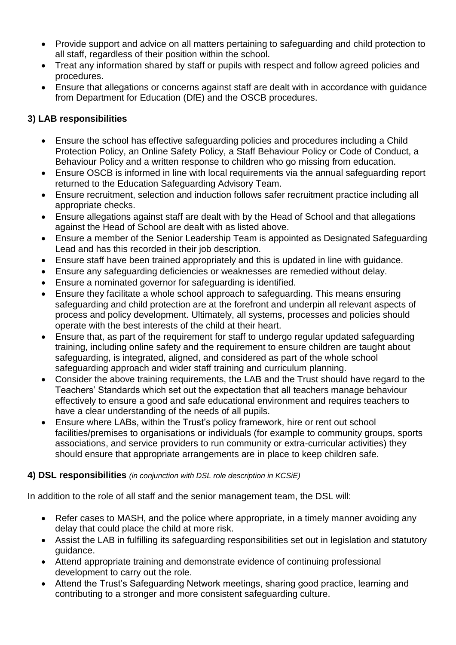- Provide support and advice on all matters pertaining to safeguarding and child protection to all staff, regardless of their position within the school.
- Treat any information shared by staff or pupils with respect and follow agreed policies and procedures.
- Ensure that allegations or concerns against staff are dealt with in accordance with guidance from Department for Education (DfE) and the OSCB procedures.

# **3) LAB responsibilities**

- Ensure the school has effective safeguarding policies and procedures including a Child Protection Policy, an Online Safety Policy, a Staff Behaviour Policy or Code of Conduct, a Behaviour Policy and a written response to children who go missing from education.
- Ensure OSCB is informed in line with local requirements via the annual safeguarding report returned to the Education Safeguarding Advisory Team.
- Ensure recruitment, selection and induction follows safer recruitment practice including all appropriate checks.
- Ensure allegations against staff are dealt with by the Head of School and that allegations against the Head of School are dealt with as listed above.
- Ensure a member of the Senior Leadership Team is appointed as Designated Safeguarding Lead and has this recorded in their job description.
- Ensure staff have been trained appropriately and this is updated in line with guidance.
- Ensure any safeguarding deficiencies or weaknesses are remedied without delay.
- Ensure a nominated governor for safeguarding is identified.
- Ensure they facilitate a whole school approach to safeguarding. This means ensuring safeguarding and child protection are at the forefront and underpin all relevant aspects of process and policy development. Ultimately, all systems, processes and policies should operate with the best interests of the child at their heart.
- Ensure that, as part of the requirement for staff to undergo regular updated safeguarding training, including online safety and the requirement to ensure children are taught about safeguarding, is integrated, aligned, and considered as part of the whole school safeguarding approach and wider staff training and curriculum planning.
- Consider the above training requirements, the LAB and the Trust should have regard to the Teachers' Standards which set out the expectation that all teachers manage behaviour effectively to ensure a good and safe educational environment and requires teachers to have a clear understanding of the needs of all pupils.
- Ensure where LABs, within the Trust's policy framework, hire or rent out school facilities/premises to organisations or individuals (for example to community groups, sports associations, and service providers to run community or extra-curricular activities) they should ensure that appropriate arrangements are in place to keep children safe.

## **4) DSL responsibilities** *(in conjunction with DSL role description in KCSiE)*

In addition to the role of all staff and the senior management team, the DSL will:

- Refer cases to MASH, and the police where appropriate, in a timely manner avoiding any delay that could place the child at more risk.
- Assist the LAB in fulfilling its safeguarding responsibilities set out in legislation and statutory guidance.
- Attend appropriate training and demonstrate evidence of continuing professional development to carry out the role.
- Attend the Trust's Safeguarding Network meetings, sharing good practice, learning and contributing to a stronger and more consistent safeguarding culture.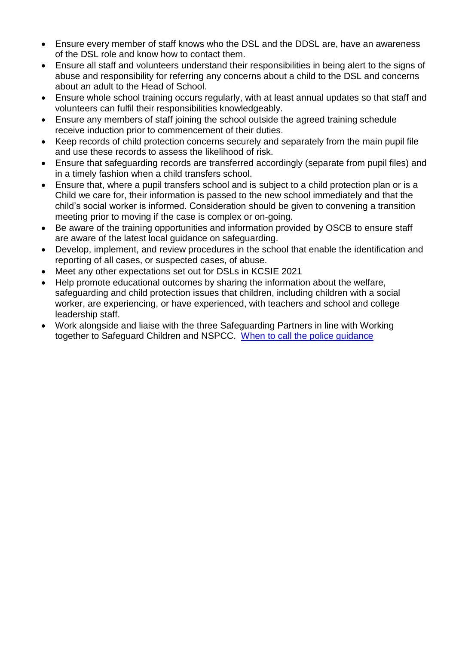- Ensure every member of staff knows who the DSL and the DDSL are, have an awareness of the DSL role and know how to contact them.
- Ensure all staff and volunteers understand their responsibilities in being alert to the signs of abuse and responsibility for referring any concerns about a child to the DSL and concerns about an adult to the Head of School.
- Ensure whole school training occurs regularly, with at least annual updates so that staff and volunteers can fulfil their responsibilities knowledgeably.
- Ensure any members of staff joining the school outside the agreed training schedule receive induction prior to commencement of their duties.
- Keep records of child protection concerns securely and separately from the main pupil file and use these records to assess the likelihood of risk.
- Ensure that safeguarding records are transferred accordingly (separate from pupil files) and in a timely fashion when a child transfers school.
- Ensure that, where a pupil transfers school and is subject to a child protection plan or is a Child we care for, their information is passed to the new school immediately and that the child's social worker is informed. Consideration should be given to convening a transition meeting prior to moving if the case is complex or on-going.
- Be aware of the training opportunities and information provided by OSCB to ensure staff are aware of the latest local guidance on safeguarding.
- Develop, implement, and review procedures in the school that enable the identification and reporting of all cases, or suspected cases, of abuse.
- Meet any other expectations set out for DSLs in KCSIE 2021
- Help promote educational outcomes by sharing the information about the welfare, safeguarding and child protection issues that children, including children with a social worker, are experiencing, or have experienced, with teachers and school and college leadership staff.
- Work alongside and liaise with the three Safeguarding Partners in line with Working together to Safeguard Children and NSPCC. [When to call the police guidance](https://www.npcc.police.uk/documents/Children%20and%20Young%20people/When%20to%20call%20the%20police%20guidance%20for%20schools%20and%20colleges.pdf)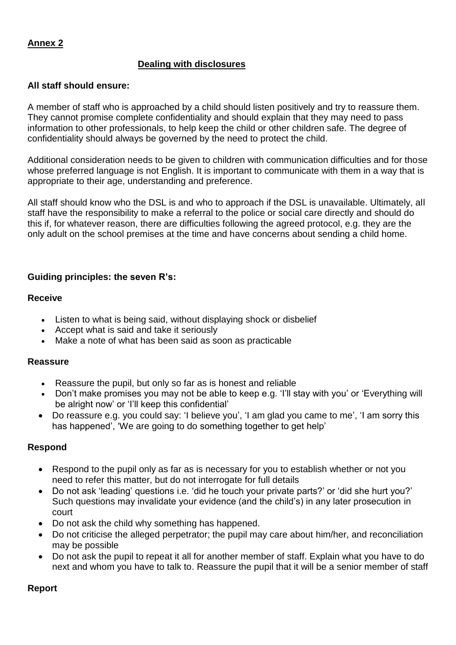#### **Dealing with disclosures**

#### **All staff should ensure:**

A member of staff who is approached by a child should listen positively and try to reassure them. They cannot promise complete confidentiality and should explain that they may need to pass information to other professionals, to help keep the child or other children safe. The degree of confidentiality should always be governed by the need to protect the child.

Additional consideration needs to be given to children with communication difficulties and for those whose preferred language is not English. It is important to communicate with them in a way that is appropriate to their age, understanding and preference.

All staff should know who the DSL is and who to approach if the DSL is unavailable. Ultimately, all staff have the responsibility to make a referral to the police or social care directly and should do this if, for whatever reason, there are difficulties following the agreed protocol, e.g. they are the only adult on the school premises at the time and have concerns about sending a child home.

#### **Guiding principles: the seven R's:**

#### **Receive**

- Listen to what is being said, without displaying shock or disbelief
- Accept what is said and take it seriously
- Make a note of what has been said as soon as practicable

#### **Reassure**

- Reassure the pupil, but only so far as is honest and reliable
- Don't make promises you may not be able to keep e.g. 'I'll stay with you' or 'Everything will be alright now' or 'I'll keep this confidential'
- Do reassure e.g. you could say: 'I believe you', 'I am glad you came to me', 'I am sorry this has happened', 'We are going to do something together to get help'

#### **Respond**

- Respond to the pupil only as far as is necessary for you to establish whether or not you need to refer this matter, but do not interrogate for full details
- Do not ask 'leading' questions i.e. 'did he touch your private parts?' or 'did she hurt you?' Such questions may invalidate your evidence (and the child's) in any later prosecution in court
- Do not ask the child why something has happened.
- Do not criticise the alleged perpetrator; the pupil may care about him/her, and reconciliation may be possible
- Do not ask the pupil to repeat it all for another member of staff. Explain what you have to do next and whom you have to talk to. Reassure the pupil that it will be a senior member of staff

#### **Report**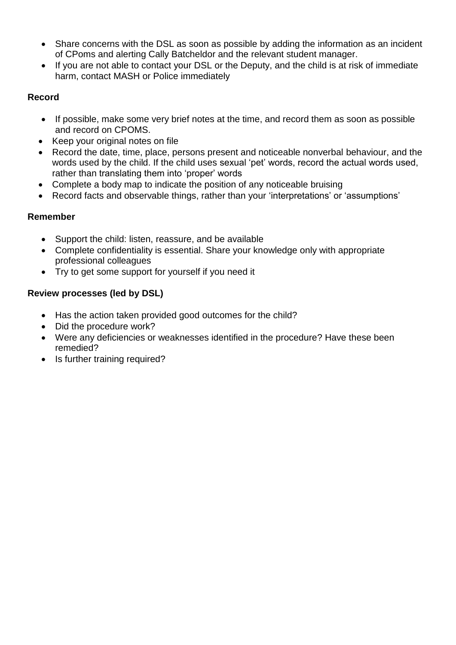- Share concerns with the DSL as soon as possible by adding the information as an incident of CPoms and alerting Cally Batcheldor and the relevant student manager.
- If you are not able to contact your DSL or the Deputy, and the child is at risk of immediate harm, contact MASH or Police immediately

## **Record**

- If possible, make some very brief notes at the time, and record them as soon as possible and record on CPOMS.
- Keep your original notes on file
- Record the date, time, place, persons present and noticeable nonverbal behaviour, and the words used by the child. If the child uses sexual 'pet' words, record the actual words used, rather than translating them into 'proper' words
- Complete a body map to indicate the position of any noticeable bruising
- Record facts and observable things, rather than your 'interpretations' or 'assumptions'

## **Remember**

- Support the child: listen, reassure, and be available
- Complete confidentiality is essential. Share your knowledge only with appropriate professional colleagues
- Try to get some support for yourself if you need it

# **Review processes (led by DSL)**

- Has the action taken provided good outcomes for the child?
- Did the procedure work?
- Were any deficiencies or weaknesses identified in the procedure? Have these been remedied?
- Is further training required?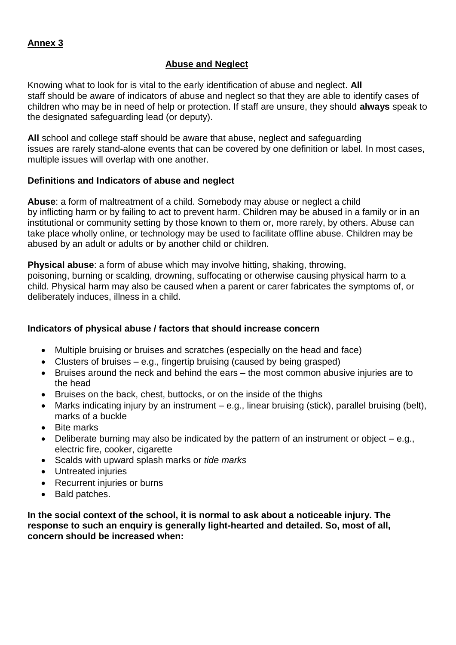#### **Abuse and Neglect**

Knowing what to look for is vital to the early identification of abuse and neglect. **All** staff should be aware of indicators of abuse and neglect so that they are able to identify cases of children who may be in need of help or protection. If staff are unsure, they should **always** speak to the designated safeguarding lead (or deputy).

**All** school and college staff should be aware that abuse, neglect and safeguarding issues are rarely stand-alone events that can be covered by one definition or label. In most cases, multiple issues will overlap with one another.

#### **Definitions and Indicators of abuse and neglect**

**Abuse**: a form of maltreatment of a child. Somebody may abuse or neglect a child by inflicting harm or by failing to act to prevent harm. Children may be abused in a family or in an institutional or community setting by those known to them or, more rarely, by others. Abuse can take place wholly online, or technology may be used to facilitate offline abuse. Children may be abused by an adult or adults or by another child or children.

**Physical abuse**: a form of abuse which may involve hitting, shaking, throwing, poisoning, burning or scalding, drowning, suffocating or otherwise causing physical harm to a child. Physical harm may also be caused when a parent or carer fabricates the symptoms of, or deliberately induces, illness in a child.

## **Indicators of physical abuse / factors that should increase concern**

- Multiple bruising or bruises and scratches (especially on the head and face)
- Clusters of bruises  $-$  e.g., fingertip bruising (caused by being grasped)
- Bruises around the neck and behind the ears the most common abusive injuries are to the head
- Bruises on the back, chest, buttocks, or on the inside of the thighs
- Marks indicating injury by an instrument e.g., linear bruising (stick), parallel bruising (belt), marks of a buckle
- Bite marks
- $\bullet$  Deliberate burning may also be indicated by the pattern of an instrument or object  $-$  e.g., electric fire, cooker, cigarette
- Scalds with upward splash marks or *tide marks*
- Untreated injuries
- Recurrent injuries or burns
- Bald patches.

**In the social context of the school, it is normal to ask about a noticeable injury. The response to such an enquiry is generally light-hearted and detailed. So, most of all, concern should be increased when:**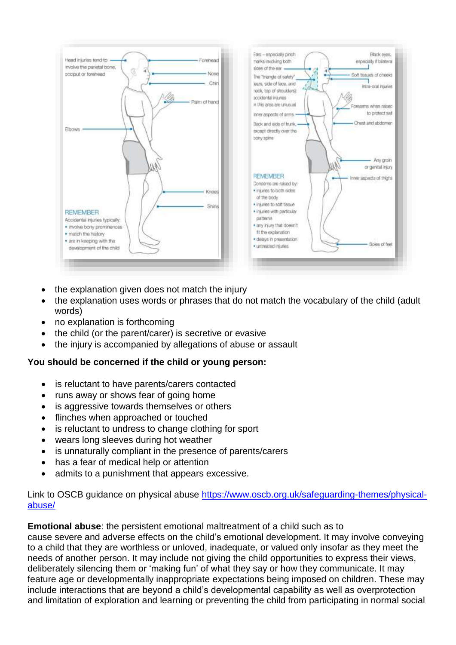

- the explanation given does not match the injury
- the explanation uses words or phrases that do not match the vocabulary of the child (adult words)
- no explanation is forthcoming
- the child (or the parent/carer) is secretive or evasive
- the injury is accompanied by allegations of abuse or assault

#### **You should be concerned if the child or young person:**

- is reluctant to have parents/carers contacted
- runs away or shows fear of going home
- is aggressive towards themselves or others
- flinches when approached or touched
- is reluctant to undress to change clothing for sport
- wears long sleeves during hot weather
- is unnaturally compliant in the presence of parents/carers
- has a fear of medical help or attention
- admits to a punishment that appears excessive.

#### Link to OSCB guidance on physical abuse [https://www.oscb.org.uk/safeguarding-themes/physical](https://www.oscb.org.uk/safeguarding-themes/physical-abuse/)[abuse/](https://www.oscb.org.uk/safeguarding-themes/physical-abuse/)

**Emotional abuse**: the persistent emotional maltreatment of a child such as to cause severe and adverse effects on the child's emotional development. It may involve conveying to a child that they are worthless or unloved, inadequate, or valued only insofar as they meet the needs of another person. It may include not giving the child opportunities to express their views, deliberately silencing them or 'making fun' of what they say or how they communicate. It may feature age or developmentally inappropriate expectations being imposed on children. These may include interactions that are beyond a child's developmental capability as well as overprotection and limitation of exploration and learning or preventing the child from participating in normal social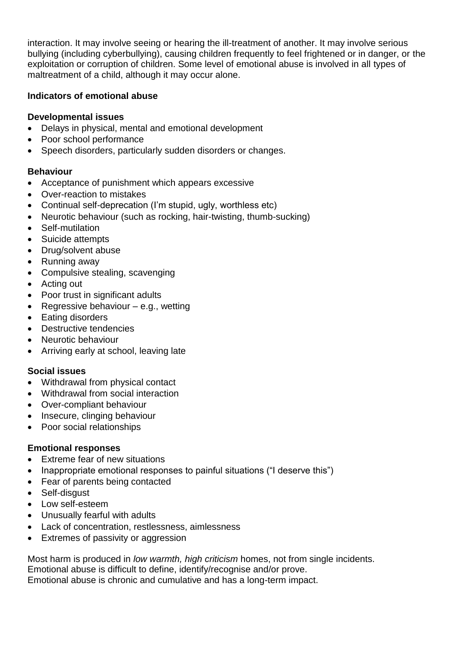interaction. It may involve seeing or hearing the ill-treatment of another. It may involve serious bullying (including cyberbullying), causing children frequently to feel frightened or in danger, or the exploitation or corruption of children. Some level of emotional abuse is involved in all types of maltreatment of a child, although it may occur alone.

## **Indicators of emotional abuse**

## **Developmental issues**

- Delays in physical, mental and emotional development
- Poor school performance
- Speech disorders, particularly sudden disorders or changes.

# **Behaviour**

- Acceptance of punishment which appears excessive
- Over-reaction to mistakes
- Continual self-deprecation (I'm stupid, ugly, worthless etc)
- Neurotic behaviour (such as rocking, hair-twisting, thumb-sucking)
- Self-mutilation
- Suicide attempts
- Drug/solvent abuse
- Running away
- Compulsive stealing, scavenging
- Acting out
- Poor trust in significant adults
- Regressive behaviour  $-$  e.g., wetting
- Eating disorders
- Destructive tendencies
- Neurotic behaviour
- Arriving early at school, leaving late

# **Social issues**

- Withdrawal from physical contact
- Withdrawal from social interaction
- Over-compliant behaviour
- Insecure, clinging behaviour
- Poor social relationships

# **Emotional responses**

- Extreme fear of new situations
- Inappropriate emotional responses to painful situations ("I deserve this")
- Fear of parents being contacted
- Self-disaust
- Low self-esteem
- Unusually fearful with adults
- Lack of concentration, restlessness, aimlessness
- Extremes of passivity or aggression

Most harm is produced in *low warmth, high criticism* homes, not from single incidents. Emotional abuse is difficult to define, identify/recognise and/or prove. Emotional abuse is chronic and cumulative and has a long-term impact.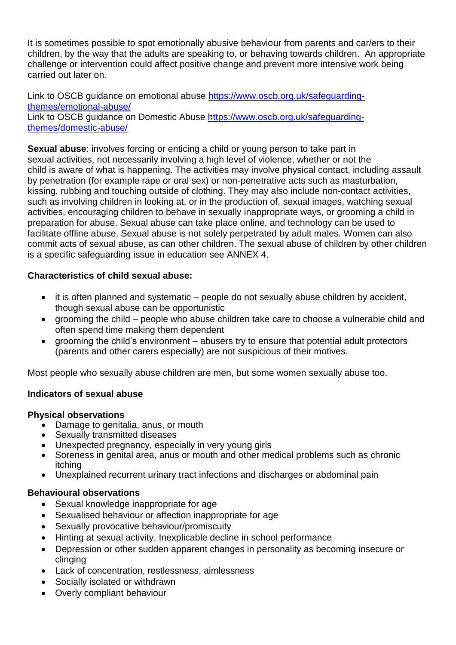It is sometimes possible to spot emotionally abusive behaviour from parents and car/ers to their children, by the way that the adults are speaking to, or behaving towards children. An appropriate challenge or intervention could affect positive change and prevent more intensive work being carried out later on.

Link to OSCB guidance on emotional abuse [https://www.oscb.org.uk/safeguarding](https://www.oscb.org.uk/safeguarding-themes/emotional-abuse/)[themes/emotional-abuse/](https://www.oscb.org.uk/safeguarding-themes/emotional-abuse/) Link to OSCB guidance on Domestic Abuse [https://www.oscb.org.uk/safeguarding](https://www.oscb.org.uk/safeguarding-themes/domestic-abuse/)[themes/domestic-abuse/](https://www.oscb.org.uk/safeguarding-themes/domestic-abuse/)

**Sexual abuse**: involves forcing or enticing a child or young person to take part in sexual activities, not necessarily involving a high level of violence, whether or not the child is aware of what is happening. The activities may involve physical contact, including assault by penetration (for example rape or oral sex) or non-penetrative acts such as masturbation, kissing, rubbing and touching outside of clothing. They may also include non-contact activities, such as involving children in looking at, or in the production of, sexual images, watching sexual activities, encouraging children to behave in sexually inappropriate ways, or grooming a child in preparation for abuse. Sexual abuse can take place online, and technology can be used to facilitate offline abuse. Sexual abuse is not solely perpetrated by adult males. Women can also commit acts of sexual abuse, as can other children. The sexual abuse of children by other children is a specific safeguarding issue in education see ANNEX 4.

## **Characteristics of child sexual abuse:**

- it is often planned and systematic people do not sexually abuse children by accident, though sexual abuse can be opportunistic
- grooming the child people who abuse children take care to choose a vulnerable child and often spend time making them dependent
- grooming the child's environment abusers try to ensure that potential adult protectors (parents and other carers especially) are not suspicious of their motives.

Most people who sexually abuse children are men, but some women sexually abuse too.

## **Indicators of sexual abuse**

#### **Physical observations**

- Damage to genitalia, anus, or mouth
- Sexually transmitted diseases
- Unexpected pregnancy, especially in very young girls
- Soreness in genital area, anus or mouth and other medical problems such as chronic itching
- Unexplained recurrent urinary tract infections and discharges or abdominal pain

## **Behavioural observations**

- Sexual knowledge inappropriate for age
- Sexualised behaviour or affection inappropriate for age
- Sexually provocative behaviour/promiscuity
- Hinting at sexual activity. Inexplicable decline in school performance
- Depression or other sudden apparent changes in personality as becoming insecure or clinging
- Lack of concentration, restlessness, aimlessness
- Socially isolated or withdrawn
- Overly compliant behaviour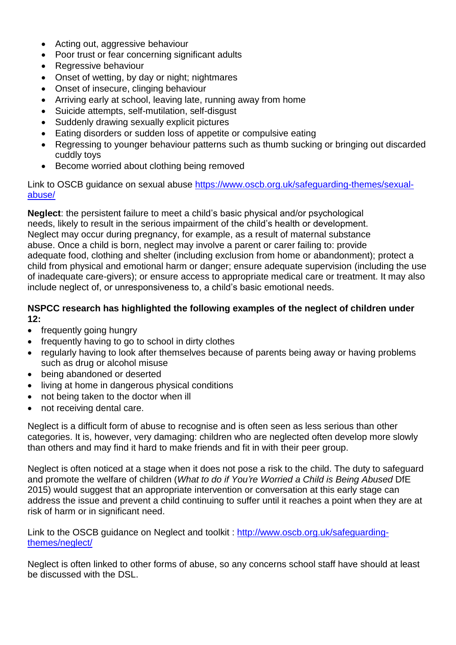- Acting out, aggressive behaviour
- Poor trust or fear concerning significant adults
- Regressive behaviour
- Onset of wetting, by day or night; nightmares
- Onset of insecure, clinging behaviour
- Arriving early at school, leaving late, running away from home
- Suicide attempts, self-mutilation, self-disgust
- Suddenly drawing sexually explicit pictures
- Eating disorders or sudden loss of appetite or compulsive eating
- Regressing to younger behaviour patterns such as thumb sucking or bringing out discarded cuddly toys
- Become worried about clothing being removed

Link to OSCB guidance on sexual abuse [https://www.oscb.org.uk/safeguarding-themes/sexual](https://www.oscb.org.uk/safeguarding-themes/sexual-abuse/)[abuse/](https://www.oscb.org.uk/safeguarding-themes/sexual-abuse/)

**Neglect**: the persistent failure to meet a child's basic physical and/or psychological needs, likely to result in the serious impairment of the child's health or development. Neglect may occur during pregnancy, for example, as a result of maternal substance abuse. Once a child is born, neglect may involve a parent or carer failing to: provide adequate food, clothing and shelter (including exclusion from home or abandonment); protect a child from physical and emotional harm or danger; ensure adequate supervision (including the use of inadequate care-givers); or ensure access to appropriate medical care or treatment. It may also include neglect of, or unresponsiveness to, a child's basic emotional needs.

#### **NSPCC research has highlighted the following examples of the neglect of children under 12:**

- frequently going hungry
- frequently having to go to school in dirty clothes
- regularly having to look after themselves because of parents being away or having problems such as drug or alcohol misuse
- being abandoned or deserted
- living at home in dangerous physical conditions
- not being taken to the doctor when ill
- not receiving dental care.

Neglect is a difficult form of abuse to recognise and is often seen as less serious than other categories. It is, however, very damaging: children who are neglected often develop more slowly than others and may find it hard to make friends and fit in with their peer group.

Neglect is often noticed at a stage when it does not pose a risk to the child. The duty to safeguard and promote the welfare of children (*What to do if You're Worried a Child is Being Abused* DfE 2015) would suggest that an appropriate intervention or conversation at this early stage can address the issue and prevent a child continuing to suffer until it reaches a point when they are at risk of harm or in significant need.

Link to the OSCB guidance on Neglect and toolkit : [http://www.oscb.org.uk/safeguarding](http://www.oscb.org.uk/safeguarding-themes/neglect/)[themes/neglect/](http://www.oscb.org.uk/safeguarding-themes/neglect/) 

Neglect is often linked to other forms of abuse, so any concerns school staff have should at least be discussed with the DSL.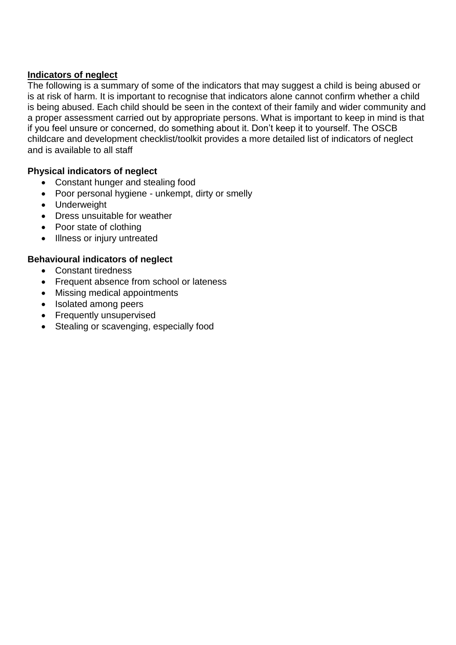#### **Indicators of neglect**

The following is a summary of some of the indicators that may suggest a child is being abused or is at risk of harm. It is important to recognise that indicators alone cannot confirm whether a child is being abused. Each child should be seen in the context of their family and wider community and a proper assessment carried out by appropriate persons. What is important to keep in mind is that if you feel unsure or concerned, do something about it. Don't keep it to yourself. The OSCB childcare and development checklist/toolkit provides a more detailed list of indicators of neglect and is available to all staff

## **Physical indicators of neglect**

- Constant hunger and stealing food
- Poor personal hygiene unkempt, dirty or smelly
- Underweight
- Dress unsuitable for weather
- Poor state of clothing
- Illness or injury untreated

## **Behavioural indicators of neglect**

- Constant tiredness
- Frequent absence from school or lateness
- Missing medical appointments
- Isolated among peers
- Frequently unsupervised
- Stealing or scavenging, especially food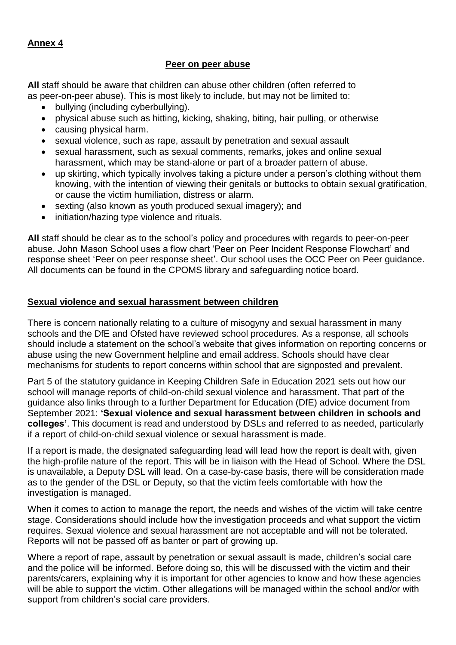#### **Peer on peer abuse**

**All** staff should be aware that children can abuse other children (often referred to as peer-on-peer abuse). This is most likely to include, but may not be limited to:

- bullying (including cyberbullying).
- physical abuse such as hitting, kicking, shaking, biting, hair pulling, or otherwise
- causing physical harm.
- sexual violence, such as rape, assault by penetration and sexual assault
- sexual harassment, such as sexual comments, remarks, jokes and online sexual harassment, which may be stand-alone or part of a broader pattern of abuse.
- up skirting, which typically involves taking a picture under a person's clothing without them knowing, with the intention of viewing their genitals or buttocks to obtain sexual gratification, or cause the victim humiliation, distress or alarm.
- sexting (also known as youth produced sexual imagery); and
- initiation/hazing type violence and rituals.

**All** staff should be clear as to the school's policy and procedures with regards to peer-on-peer abuse. John Mason School uses a flow chart 'Peer on Peer Incident Response Flowchart' and response sheet 'Peer on peer response sheet'. Our school uses the OCC Peer on Peer guidance. All documents can be found in the CPOMS library and safeguarding notice board.

## **Sexual violence and sexual harassment between children**

There is concern nationally relating to a culture of misogyny and sexual harassment in many schools and the DfE and Ofsted have reviewed school procedures. As a response, all schools should include a statement on the school's website that gives information on reporting concerns or abuse using the new Government helpline and email address. Schools should have clear mechanisms for students to report concerns within school that are signposted and prevalent.

Part 5 of the statutory guidance in Keeping Children Safe in Education 2021 sets out how our school will manage reports of child-on-child sexual violence and harassment. That part of the guidance also links through to a further Department for Education (DfE) advice document from September 2021: **'Sexual violence and sexual harassment between children in schools and colleges'**. This document is read and understood by DSLs and referred to as needed, particularly if a report of child-on-child sexual violence or sexual harassment is made.

If a report is made, the designated safeguarding lead will lead how the report is dealt with, given the high-profile nature of the report. This will be in liaison with the Head of School. Where the DSL is unavailable, a Deputy DSL will lead. On a case-by-case basis, there will be consideration made as to the gender of the DSL or Deputy, so that the victim feels comfortable with how the investigation is managed.

When it comes to action to manage the report, the needs and wishes of the victim will take centre stage. Considerations should include how the investigation proceeds and what support the victim requires. Sexual violence and sexual harassment are not acceptable and will not be tolerated. Reports will not be passed off as banter or part of growing up.

Where a report of rape, assault by penetration or sexual assault is made, children's social care and the police will be informed. Before doing so, this will be discussed with the victim and their parents/carers, explaining why it is important for other agencies to know and how these agencies will be able to support the victim. Other allegations will be managed within the school and/or with support from children's social care providers.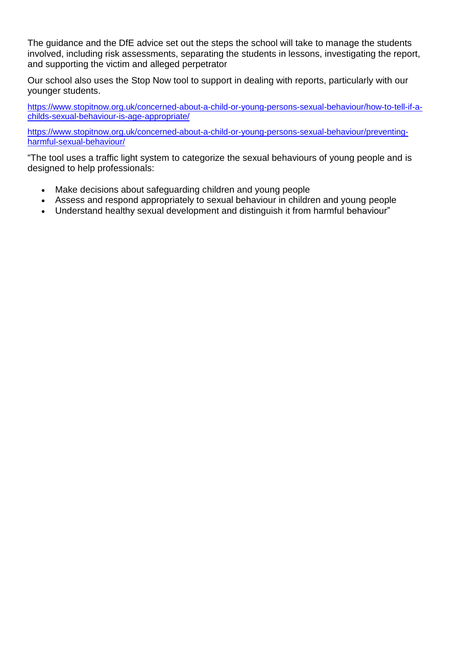The guidance and the DfE advice set out the steps the school will take to manage the students involved, including risk assessments, separating the students in lessons, investigating the report, and supporting the victim and alleged perpetrator

Our school also uses the Stop Now tool to support in dealing with reports, particularly with our younger students.

[https://www.stopitnow.org.uk/concerned-about-a-child-or-young-persons-sexual-behaviour/how-to-tell-if-a](https://www.stopitnow.org.uk/concerned-about-a-child-or-young-persons-sexual-behaviour/how-to-tell-if-a-childs-sexual-behaviour-is-age-appropriate/)[childs-sexual-behaviour-is-age-appropriate/](https://www.stopitnow.org.uk/concerned-about-a-child-or-young-persons-sexual-behaviour/how-to-tell-if-a-childs-sexual-behaviour-is-age-appropriate/)

[https://www.stopitnow.org.uk/concerned-about-a-child-or-young-persons-sexual-behaviour/preventing](https://www.stopitnow.org.uk/concerned-about-a-child-or-young-persons-sexual-behaviour/preventing-harmful-sexual-behaviour/)[harmful-sexual-behaviour/](https://www.stopitnow.org.uk/concerned-about-a-child-or-young-persons-sexual-behaviour/preventing-harmful-sexual-behaviour/)

"The tool uses a traffic light system to categorize the sexual behaviours of young people and is designed to help professionals:

- Make decisions about safeguarding children and young people
- Assess and respond appropriately to sexual behaviour in children and young people
- Understand healthy sexual development and distinguish it from harmful behaviour"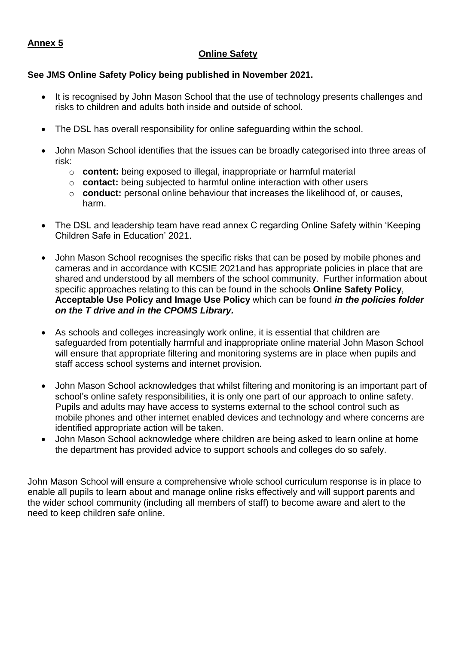## **Online Safety**

#### **See JMS Online Safety Policy being published in November 2021.**

- It is recognised by John Mason School that the use of technology presents challenges and risks to children and adults both inside and outside of school.
- The DSL has overall responsibility for online safeguarding within the school.
- John Mason School identifies that the issues can be broadly categorised into three areas of risk:
	- o **content:** being exposed to illegal, inappropriate or harmful material
	- o **contact:** being subjected to harmful online interaction with other users
	- o **conduct:** personal online behaviour that increases the likelihood of, or causes, harm.
- The DSL and leadership team have read annex C regarding Online Safety within 'Keeping Children Safe in Education' 2021.
- John Mason School recognises the specific risks that can be posed by mobile phones and cameras and in accordance with KCSIE 2021and has appropriate policies in place that are shared and understood by all members of the school community. Further information about specific approaches relating to this can be found in the schools **Online Safety Policy**, **Acceptable Use Policy and Image Use Policy** which can be found *in the policies folder on the T drive and in the CPOMS Library.*
- As schools and colleges increasingly work online, it is essential that children are safeguarded from potentially harmful and inappropriate online material John Mason School will ensure that appropriate filtering and monitoring systems are in place when pupils and staff access school systems and internet provision.
- John Mason School acknowledges that whilst filtering and monitoring is an important part of school's online safety responsibilities, it is only one part of our approach to online safety. Pupils and adults may have access to systems external to the school control such as mobile phones and other internet enabled devices and technology and where concerns are identified appropriate action will be taken.
- John Mason School acknowledge where children are being asked to learn online at home the department has provided advice to support schools and colleges do so safely.

John Mason School will ensure a comprehensive whole school curriculum response is in place to enable all pupils to learn about and manage online risks effectively and will support parents and the wider school community (including all members of staff) to become aware and alert to the need to keep children safe online.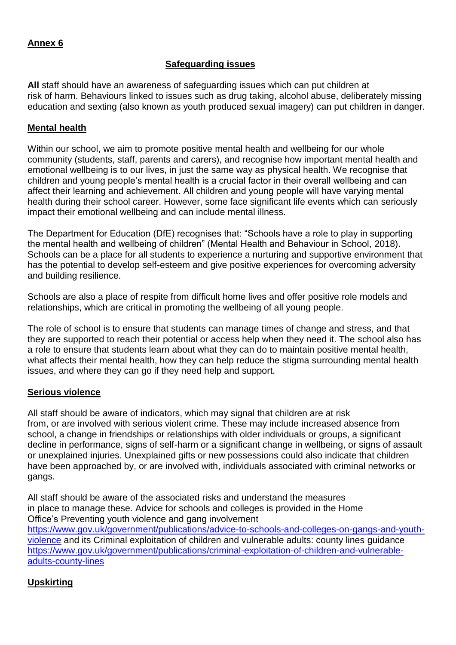## **Safeguarding issues**

**All** staff should have an awareness of safeguarding issues which can put children at risk of harm. Behaviours linked to issues such as drug taking, alcohol abuse, deliberately missing education and sexting (also known as youth produced sexual imagery) can put children in danger.

#### **Mental health**

Within our school, we aim to promote positive mental health and wellbeing for our whole community (students, staff, parents and carers), and recognise how important mental health and emotional wellbeing is to our lives, in just the same way as physical health. We recognise that children and young people's mental health is a crucial factor in their overall wellbeing and can affect their learning and achievement. All children and young people will have varying mental health during their school career. However, some face significant life events which can seriously impact their emotional wellbeing and can include mental illness.

The Department for Education (DfE) recognises that: "Schools have a role to play in supporting the mental health and wellbeing of children" (Mental Health and Behaviour in School, 2018). Schools can be a place for all students to experience a nurturing and supportive environment that has the potential to develop self-esteem and give positive experiences for overcoming adversity and building resilience.

Schools are also a place of respite from difficult home lives and offer positive role models and relationships, which are critical in promoting the wellbeing of all young people.

The role of school is to ensure that students can manage times of change and stress, and that they are supported to reach their potential or access help when they need it. The school also has a role to ensure that students learn about what they can do to maintain positive mental health, what affects their mental health, how they can help reduce the stigma surrounding mental health issues, and where they can go if they need help and support.

#### **Serious violence**

All staff should be aware of indicators, which may signal that children are at risk from, or are involved with serious violent crime. These may include increased absence from school, a change in friendships or relationships with older individuals or groups, a significant decline in performance, signs of self-harm or a significant change in wellbeing, or signs of assault or unexplained injuries. Unexplained gifts or new possessions could also indicate that children have been approached by, or are involved with, individuals associated with criminal networks or gangs.

All staff should be aware of the associated risks and understand the measures in place to manage these. Advice for schools and colleges is provided in the Home Office's Preventing youth violence and gang involvement [https://www.gov.uk/government/publications/advice-to-schools-and-colleges-on-gangs-and-youth](https://www.gov.uk/government/publications/advice-to-schools-and-colleges-on-gangs-and-youth-violence)[violence](https://www.gov.uk/government/publications/advice-to-schools-and-colleges-on-gangs-and-youth-violence) and its Criminal exploitation of children and vulnerable adults: county lines guidance [https://www.gov.uk/government/publications/criminal-exploitation-of-children-and-vulnerable](https://www.gov.uk/government/publications/criminal-exploitation-of-children-and-vulnerable-adults-county-lines)[adults-county-lines](https://www.gov.uk/government/publications/criminal-exploitation-of-children-and-vulnerable-adults-county-lines)

## **Upskirting**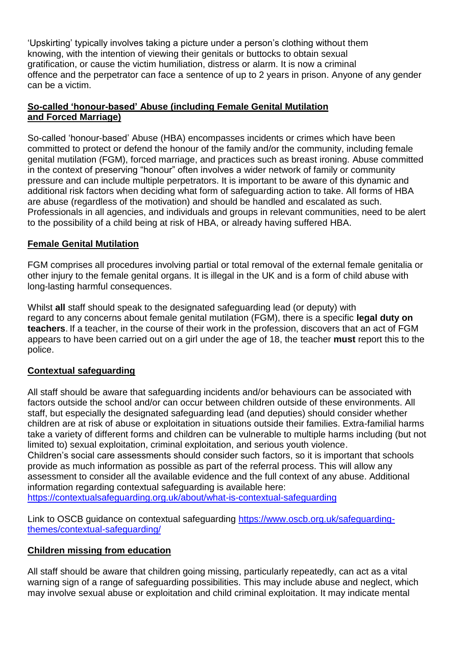'Upskirting' typically involves taking a picture under a person's clothing without them knowing, with the intention of viewing their genitals or buttocks to obtain sexual gratification, or cause the victim humiliation, distress or alarm. It is now a criminal offence and the perpetrator can face a sentence of up to 2 years in prison. Anyone of any gender can be a victim.

## **So-called 'honour-based' Abuse (including Female Genital Mutilation and Forced Marriage)**

So-called 'honour-based' Abuse (HBA) encompasses incidents or crimes which have been committed to protect or defend the honour of the family and/or the community, including female genital mutilation (FGM), forced marriage, and practices such as breast ironing. Abuse committed in the context of preserving "honour" often involves a wider network of family or community pressure and can include multiple perpetrators. It is important to be aware of this dynamic and additional risk factors when deciding what form of safeguarding action to take. All forms of HBA are abuse (regardless of the motivation) and should be handled and escalated as such. Professionals in all agencies, and individuals and groups in relevant communities, need to be alert to the possibility of a child being at risk of HBA, or already having suffered HBA.

## **Female Genital Mutilation**

FGM comprises all procedures involving partial or total removal of the external female genitalia or other injury to the female genital organs. It is illegal in the UK and is a form of child abuse with long-lasting harmful consequences.

Whilst **all** staff should speak to the designated safeguarding lead (or deputy) with regard to any concerns about female genital mutilation (FGM), there is a specific **legal duty on teachers**. If a teacher, in the course of their work in the profession, discovers that an act of FGM appears to have been carried out on a girl under the age of 18, the teacher **must** report this to the police.

## **Contextual safeguarding**

All staff should be aware that safeguarding incidents and/or behaviours can be associated with factors outside the school and/or can occur between children outside of these environments. All staff, but especially the designated safeguarding lead (and deputies) should consider whether children are at risk of abuse or exploitation in situations outside their families. Extra-familial harms take a variety of different forms and children can be vulnerable to multiple harms including (but not limited to) sexual exploitation, criminal exploitation, and serious youth violence. Children's social care assessments should consider such factors, so it is important that schools provide as much information as possible as part of the referral process. This will allow any assessment to consider all the available evidence and the full context of any abuse. Additional information regarding contextual safeguarding is available here:

<https://contextualsafeguarding.org.uk/about/what-is-contextual-safeguarding>

Link to OSCB guidance on contextual safeguarding [https://www.oscb.org.uk/safeguarding](https://www.oscb.org.uk/safeguarding-themes/contextual-safeguarding/)[themes/contextual-safeguarding/](https://www.oscb.org.uk/safeguarding-themes/contextual-safeguarding/)

## **Children missing from education**

All staff should be aware that children going missing, particularly repeatedly, can act as a vital warning sign of a range of safeguarding possibilities. This may include abuse and neglect, which may involve sexual abuse or exploitation and child criminal exploitation. It may indicate mental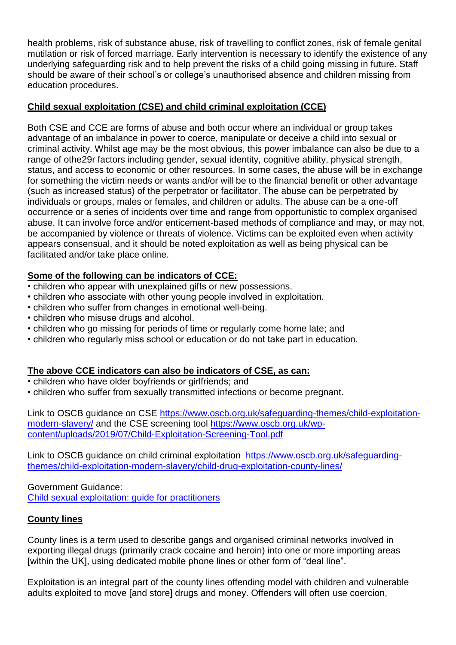health problems, risk of substance abuse, risk of travelling to conflict zones, risk of female genital mutilation or risk of forced marriage. Early intervention is necessary to identify the existence of any underlying safeguarding risk and to help prevent the risks of a child going missing in future. Staff should be aware of their school's or college's unauthorised absence and children missing from education procedures.

# **Child sexual exploitation (CSE) and child criminal exploitation (CCE)**

Both CSE and CCE are forms of abuse and both occur where an individual or group takes advantage of an imbalance in power to coerce, manipulate or deceive a child into sexual or criminal activity. Whilst age may be the most obvious, this power imbalance can also be due to a range of othe29r factors including gender, sexual identity, cognitive ability, physical strength, status, and access to economic or other resources. In some cases, the abuse will be in exchange for something the victim needs or wants and/or will be to the financial benefit or other advantage (such as increased status) of the perpetrator or facilitator. The abuse can be perpetrated by individuals or groups, males or females, and children or adults. The abuse can be a one-off occurrence or a series of incidents over time and range from opportunistic to complex organised abuse. It can involve force and/or enticement-based methods of compliance and may, or may not, be accompanied by violence or threats of violence. Victims can be exploited even when activity appears consensual, and it should be noted exploitation as well as being physical can be facilitated and/or take place online.

## **Some of the following can be indicators of CCE:**

- children who appear with unexplained gifts or new possessions.
- children who associate with other young people involved in exploitation.
- children who suffer from changes in emotional well-being.
- children who misuse drugs and alcohol.
- children who go missing for periods of time or regularly come home late; and
- children who regularly miss school or education or do not take part in education.

## **The above CCE indicators can also be indicators of CSE, as can:**

- children who have older boyfriends or girlfriends; and
- children who suffer from sexually transmitted infections or become pregnant.

Link to OSCB guidance on CSE [https://www.oscb.org.uk/safeguarding-themes/child-exploitation](https://www.oscb.org.uk/safeguarding-themes/child-exploitation-modern-slavery/)[modern-slavery/](https://www.oscb.org.uk/safeguarding-themes/child-exploitation-modern-slavery/) and the CSE screening tool [https://www.oscb.org.uk/wp](https://www.oscb.org.uk/wp-content/uploads/2019/07/Child-Exploitation-Screening-Tool.pdf)[content/uploads/2019/07/Child-Exploitation-Screening-Tool.pdf](https://www.oscb.org.uk/wp-content/uploads/2019/07/Child-Exploitation-Screening-Tool.pdf)

Link to OSCB guidance on child criminal exploitation [https://www.oscb.org.uk/safeguarding](https://www.oscb.org.uk/safeguarding-themes/child-exploitation-modern-slavery/child-drug-exploitation-county-lines/)[themes/child-exploitation-modern-slavery/child-drug-exploitation-county-lines/](https://www.oscb.org.uk/safeguarding-themes/child-exploitation-modern-slavery/child-drug-exploitation-county-lines/)

Government Guidance: [Child sexual exploitation: guide for practitioners](https://www.gov.uk/government/publications/child-sexual-exploitation-definition-and-guide-for-practitioners)

## **County lines**

County lines is a term used to describe gangs and organised criminal networks involved in exporting illegal drugs (primarily crack cocaine and heroin) into one or more importing areas [within the UK], using dedicated mobile phone lines or other form of "deal line".

Exploitation is an integral part of the county lines offending model with children and vulnerable adults exploited to move [and store] drugs and money. Offenders will often use coercion,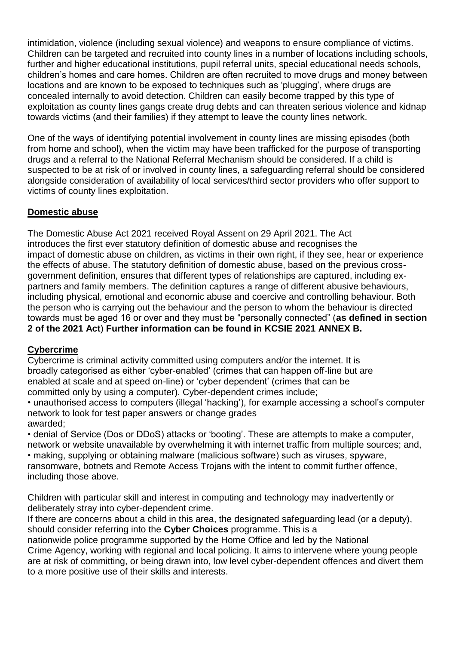intimidation, violence (including sexual violence) and weapons to ensure compliance of victims. Children can be targeted and recruited into county lines in a number of locations including schools, further and higher educational institutions, pupil referral units, special educational needs schools, children's homes and care homes. Children are often recruited to move drugs and money between locations and are known to be exposed to techniques such as 'plugging', where drugs are concealed internally to avoid detection. Children can easily become trapped by this type of exploitation as county lines gangs create drug debts and can threaten serious violence and kidnap towards victims (and their families) if they attempt to leave the county lines network.

One of the ways of identifying potential involvement in county lines are missing episodes (both from home and school), when the victim may have been trafficked for the purpose of transporting drugs and a referral to the National Referral Mechanism should be considered. If a child is suspected to be at risk of or involved in county lines, a safeguarding referral should be considered alongside consideration of availability of local services/third sector providers who offer support to victims of county lines exploitation.

## **Domestic abuse**

The Domestic Abuse Act 2021 received Royal Assent on 29 April 2021. The Act introduces the first ever statutory definition of domestic abuse and recognises the impact of domestic abuse on children, as victims in their own right, if they see, hear or experience the effects of abuse. The statutory definition of domestic abuse, based on the previous crossgovernment definition, ensures that different types of relationships are captured, including expartners and family members. The definition captures a range of different abusive behaviours, including physical, emotional and economic abuse and coercive and controlling behaviour. Both the person who is carrying out the behaviour and the person to whom the behaviour is directed towards must be aged 16 or over and they must be "personally connected" (**as defined in section 2 of the 2021 Act**) **Further information can be found in KCSIE 2021 ANNEX B.**

#### **Cybercrime**

Cybercrime is criminal activity committed using computers and/or the internet. It is broadly categorised as either 'cyber-enabled' (crimes that can happen off-line but are enabled at scale and at speed on-line) or 'cyber dependent' (crimes that can be committed only by using a computer). Cyber-dependent crimes include;

• unauthorised access to computers (illegal 'hacking'), for example accessing a school's computer network to look for test paper answers or change grades awarded;

• denial of Service (Dos or DDoS) attacks or 'booting'. These are attempts to make a computer, network or website unavailable by overwhelming it with internet traffic from multiple sources; and, • making, supplying or obtaining malware (malicious software) such as viruses, spyware, ransomware, botnets and Remote Access Trojans with the intent to commit further offence, including those above.

Children with particular skill and interest in computing and technology may inadvertently or deliberately stray into cyber-dependent crime.

If there are concerns about a child in this area, the designated safeguarding lead (or a deputy), should consider referring into the **Cyber Choices** programme. This is a nationwide police programme supported by the Home Office and led by the National Crime Agency, working with regional and local policing. It aims to intervene where young people are at risk of committing, or being drawn into, low level cyber-dependent offences and divert them to a more positive use of their skills and interests.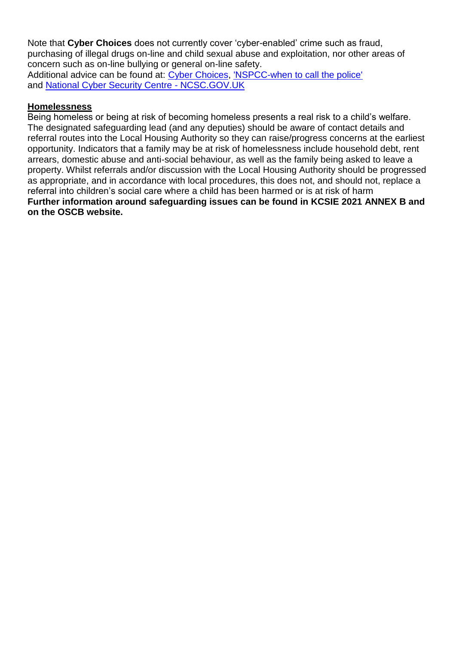Note that **Cyber Choices** does not currently cover 'cyber-enabled' crime such as fraud, purchasing of illegal drugs on-line and child sexual abuse and exploitation, nor other areas of concern such as on-line bullying or general on-line safety. Additional advice can be found at: [Cyber Choices,](http://www.cyberchoices.uk/) ['NSPCC-when to call the police'](https://www.npcc.police.uk/documents/Children%20and%20Young%20people/When%20to%20call%20the%20police%20guidance%20for%20schools%20and%20colleges.pdf) and [National Cyber Security Centre -](https://www.ncsc.gov.uk/) NCSC.GOV.UK

#### **Homelessness**

Being homeless or being at risk of becoming homeless presents a real risk to a child's welfare. The designated safeguarding lead (and any deputies) should be aware of contact details and referral routes into the Local Housing Authority so they can raise/progress concerns at the earliest opportunity. Indicators that a family may be at risk of homelessness include household debt, rent arrears, domestic abuse and anti-social behaviour, as well as the family being asked to leave a property. Whilst referrals and/or discussion with the Local Housing Authority should be progressed as appropriate, and in accordance with local procedures, this does not, and should not, replace a referral into children's social care where a child has been harmed or is at risk of harm **Further information around safeguarding issues can be found in KCSIE 2021 ANNEX B and on the OSCB website.**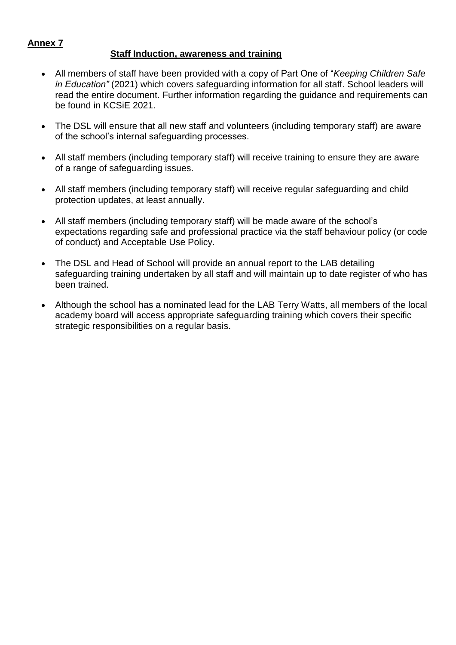#### **Staff Induction, awareness and training**

- All members of staff have been provided with a copy of Part One of "*Keeping Children Safe in Education"* (2021) which covers safeguarding information for all staff. School leaders will read the entire document. Further information regarding the guidance and requirements can be found in KCSiE 2021.
- The DSL will ensure that all new staff and volunteers (including temporary staff) are aware of the school's internal safeguarding processes.
- All staff members (including temporary staff) will receive training to ensure they are aware of a range of safeguarding issues.
- All staff members (including temporary staff) will receive regular safeguarding and child protection updates, at least annually.
- All staff members (including temporary staff) will be made aware of the school's expectations regarding safe and professional practice via the staff behaviour policy (or code of conduct) and Acceptable Use Policy.
- The DSL and Head of School will provide an annual report to the LAB detailing safeguarding training undertaken by all staff and will maintain up to date register of who has been trained.
- Although the school has a nominated lead for the LAB Terry Watts, all members of the local academy board will access appropriate safeguarding training which covers their specific strategic responsibilities on a regular basis.